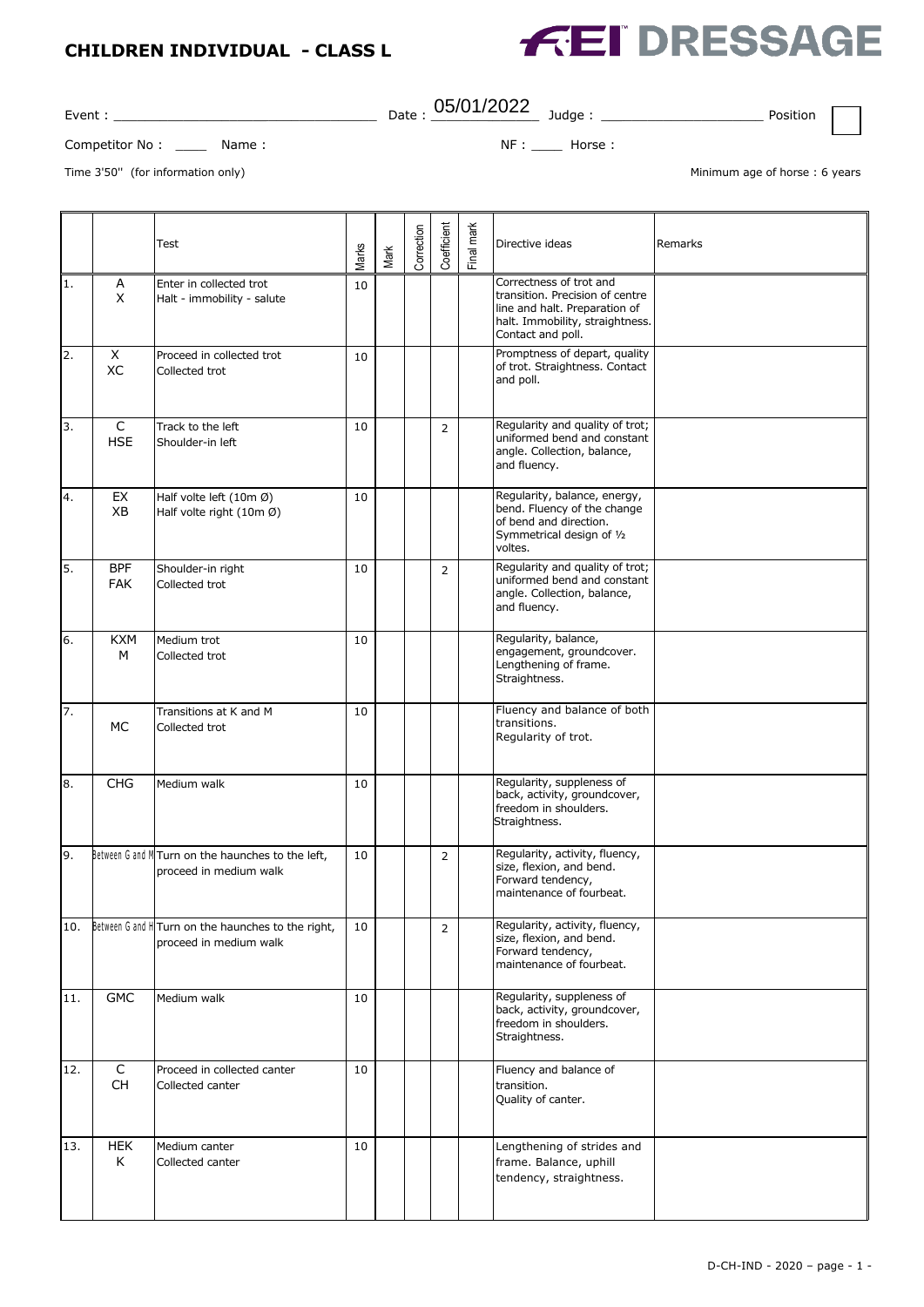#### **CHILDREN INDIVIDUAL - CLASS L**



# $\begin{array}{l} \text{Event}: \begin{array}{c} \begin{array}{c} \begin{array}{c} \text{Event}: \end{array} \end{array} \end{array} \end{array} \end{array} \end{array} \end{array}$

Competitor No : \_\_\_\_ Name :\_\_\_\_\_\_\_\_\_\_\_\_\_\_\_\_\_\_\_\_\_\_\_\_\_\_\_\_ NF : \_\_\_\_ Horse : \_\_\_\_\_\_\_\_\_\_\_\_\_\_\_\_\_\_

Time 3'50" (for information only) Time 3'50" (for information only) Minimum age of horse : 6 years

Test  $\begin{bmatrix} 1 & 1 & 1 \ 1 & 1 & 1 \ 1 & 1 & 1 \end{bmatrix} \begin{bmatrix} 1 & 1 \ 1 & 1 \ 1 & 1 \ 1 & 1 \end{bmatrix} \begin{bmatrix} 1 & 1 \ 1 & 1 \ 1 \ 1 & 1 \end{bmatrix} \begin{bmatrix} 1 & 1 \ 1 \ 1 \ 1 \end{bmatrix} \begin{bmatrix} 1 & 1 \ 1 \ 1 \ 1 \end{bmatrix}$  Directive ideas Remarks 1. A X Enter in collected trot Halt - immobility - salute 10 | | | | | | | Correctness of trot and transition. Precision of centre line and halt. Preparation of halt. Immobility, straightness Contact and poll.  $2 \times$  XC Proceed in collected trot Collected trot 10 Promptness of depart, quality of trot. Straightness. Contact and poll. 3. C **HSE** Track to the left Shoulder-in left 10 | | | | 2 | Regularity and quality of trot; uniformed bend and constant angle. Collection, balance, and fluency. 4. EX XB Half volte left (10m Ø) Half volte right (10m Ø) 10 **Regularity, balance, energy,** bend. Fluency of the change of bend and direction. Symmetrical design of ½ voltes. 5. BPF FAK Shoulder-in right Collected trot  $\overline{10}$   $\overline{2}$  Regularity and quality of trot; uniformed bend and constant angle. Collection, balance, and fluency. 6. KXM M Medium trot Collected trot 10 **Regularity**, balance, engagement, groundcover. Lengthening of frame. Straightness. 7. MC Transitions at K and M Collected trot 10 Fluency and balance of both transitions. Regularity of trot. 8. CHG Medium walk 10 10 Regularity, suppleness of back, activity, groundcover, freedom in shoulders. Straightness. 9. Between G and M Turn on the haunches to the left, proceed in medium walk 10 2 Regularity, activity, fluency, size, flexion, and bend. Forward tendency, maintenance of fourbeat. 10. Between G and H Turn on the haunches to the right, proceed in medium walk 10 2 Regularity, activity, fluency, size, flexion, and bend. Forward tendency, maintenance of fourbeat. 11. GMC Medium walk 10 10 Regularity, suppleness of back, activity, groundcover, freedom in shoulders. Straightness.  $12.$  C CH Proceed in collected canter Collected canter 10 | | | | Fluency and balance of transition. Quality of canter. 13. **HEK** K Medium canter Collected canter 10 | | | | | | | Lengthening of strides and frame. Balance, uphill tendency, straightness. Marks Mark Correction Coefficient Final mark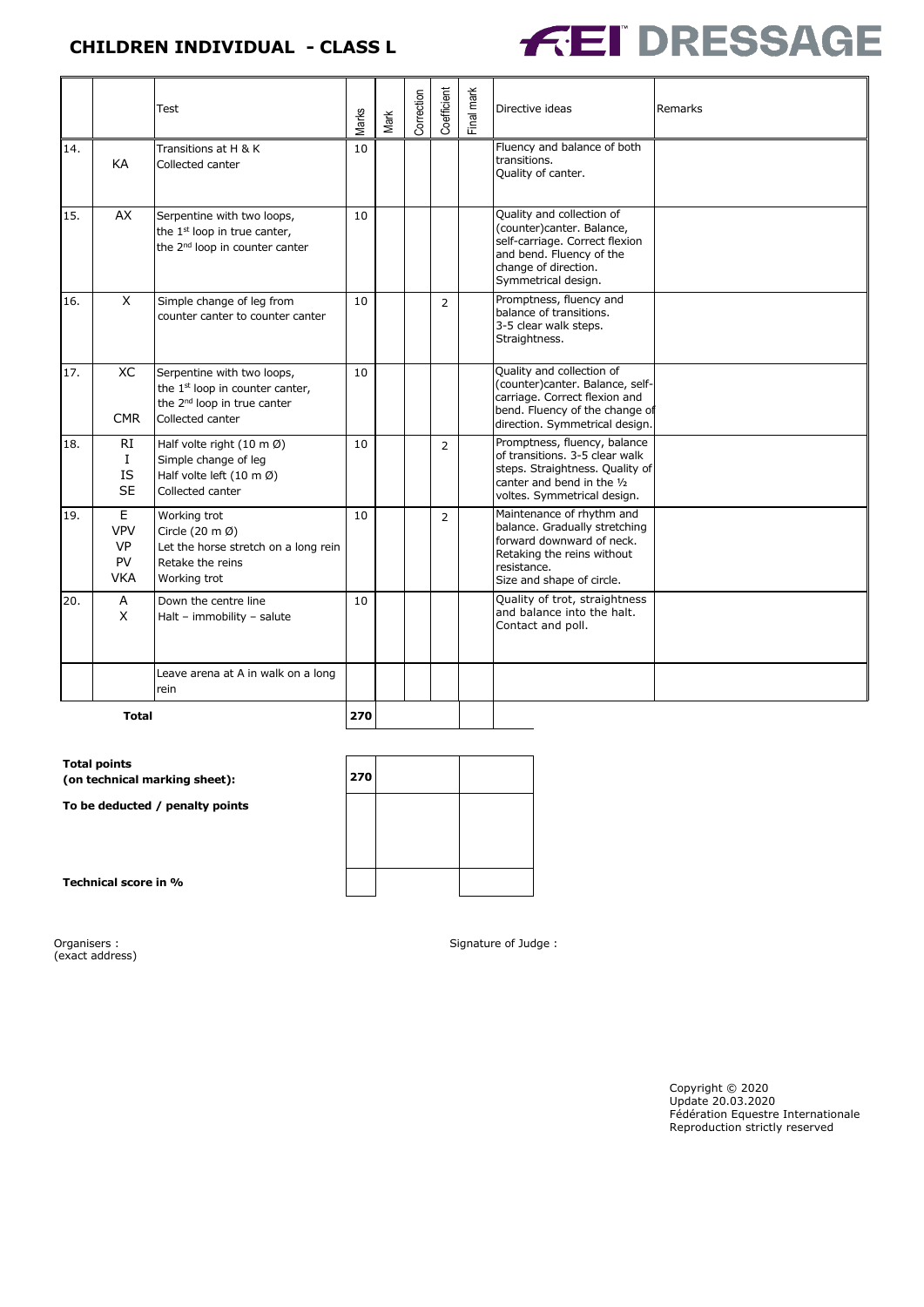### **CHILDREN INDIVIDUAL - CLASS L**



|     |                                                  | Test                                                                                                                                     | Marks | Mark | Correction | Coefficient    | Final mark | Directive ideas                                                                                                                                                     | Remarks |
|-----|--------------------------------------------------|------------------------------------------------------------------------------------------------------------------------------------------|-------|------|------------|----------------|------------|---------------------------------------------------------------------------------------------------------------------------------------------------------------------|---------|
| 14. | KA                                               | Transitions at H & K<br>Collected canter                                                                                                 | 10    |      |            |                |            | Fluency and balance of both<br>transitions.<br>Quality of canter.                                                                                                   |         |
| 15. | AX                                               | Serpentine with two loops,<br>the 1 <sup>st</sup> loop in true canter,<br>the 2 <sup>nd</sup> loop in counter canter                     | 10    |      |            |                |            | Quality and collection of<br>(counter)canter. Balance,<br>self-carriage. Correct flexion<br>and bend. Fluency of the<br>change of direction.<br>Symmetrical design. |         |
| 16. | $\mathsf{X}$                                     | Simple change of leg from<br>counter canter to counter canter                                                                            | 10    |      |            | $\overline{2}$ |            | Promptness, fluency and<br>balance of transitions.<br>3-5 clear walk steps.<br>Straightness.                                                                        |         |
| 17. | XC<br><b>CMR</b>                                 | Serpentine with two loops,<br>the 1 <sup>st</sup> loop in counter canter,<br>the 2 <sup>nd</sup> loop in true canter<br>Collected canter | 10    |      |            |                |            | Quality and collection of<br>(counter)canter. Balance, self-<br>carriage. Correct flexion and<br>bend. Fluency of the change of<br>direction. Symmetrical design.   |         |
| 18. | RI<br>1<br><b>IS</b><br><b>SE</b>                | Half volte right $(10 \text{ m }\varnothing)$<br>Simple change of leg<br>Half volte left (10 m Ø)<br>Collected canter                    | 10    |      |            | $\overline{2}$ |            | Promptness, fluency, balance<br>of transitions, 3-5 clear walk<br>steps. Straightness. Quality of<br>canter and bend in the 1/2<br>voltes. Symmetrical design.      |         |
| 19. | E<br><b>VPV</b><br><b>VP</b><br>PV<br><b>VKA</b> | Working trot<br>Circle $(20 \text{ m }\varnothing)$<br>Let the horse stretch on a long rein<br>Retake the reins<br>Working trot          | 10    |      |            | $\overline{2}$ |            | Maintenance of rhythm and<br>balance. Gradually stretching<br>forward downward of neck.<br>Retaking the reins without<br>resistance.<br>Size and shape of circle.   |         |
| 20. | Α<br>X                                           | Down the centre line<br>Halt - immobility - salute                                                                                       | 10    |      |            |                |            | Quality of trot, straightness<br>and balance into the halt.<br>Contact and poll.                                                                                    |         |
|     |                                                  | Leave arena at A in walk on a long<br>rein                                                                                               |       |      |            |                |            |                                                                                                                                                                     |         |
|     | <b>Total</b>                                     |                                                                                                                                          | 270   |      |            |                |            |                                                                                                                                                                     |         |

**Total points (on technical marking sheet):**

**To be deducted / penalty points**



**Technical score in %**

Organisers :<br>(exact address)

Signature of Judge :

Copyright © 2020 Update 20.03.2020 Fédération Equestre Internationale Reproduction strictly reserved